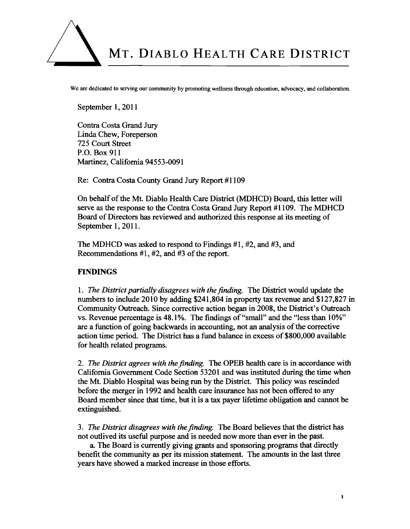

We are dedicated to serving our community by promoting wellness through education, advocacy, and collaboration.

September 1, 2011

Contra Costa Grand Jury Linda Chew, Foreperson 725 Court Street P.O. Box 911 Martinez, California 94553-0091

Re: Contra Costa County Grand Jury Report #I109

On behalf of the Mt. Diablo Health Care District (MDHCD) Board, this letter will serve as the response to the Contra Costa Grand Jury Report #1109. The MDHCD Board of Directors has reviewed and authorized this response at its meeting of September 1, 2011.

The MDHCD was asked to respond to Findings #1, #2, and #3, and Recommendations #1, #2, and #3 of the report.

## **FINDINGS**

1. *The District partially disagrees with the finding.* The District would update the numbers to include 2010 by adding \$241,804 in property tax revenue and \$127,827 in Community Outreach. Since corrective action began in 2008, the District's Outreach vs. Revenue percentage is 48.1%. The findings of "small" and the "less than 10% are a function of going backwards in accounting, not an analysis of the corrective action time period. The District has a fund balance in excess of \$800,000 available for health related programs.

2. *The District agrees with thefinding.* The OPEB health care is in accordance with California Government Code Section 53201 and was instituted during the time when the Mt. Diablo Hospital was being run by the District. This policy was rescinded before the merger in 1992 and health care insurance has not been offered to any Board member since that time, but it is a tax payer lifetime obligation and cannot be extinguished.

3. *The District disagrees with thefinding.* The Board believes that the district **has**  not outlived its useful purpose and is needed now more than ever in the past.

a. The Board is currently giving grants and sponsoring programs that directly benefit the community as per its mission statement. The amounts in the last three years have showed a marked increase in those efforts.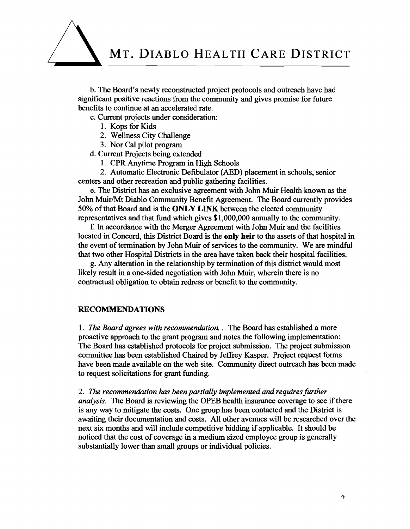

b. The Board's newly reconstructed project protocols and outreach have had significant positive reactions from the community and gives promise for future benefits to continue at an accelerated rate.

c. Current projects under consideration:

- 1. Kops for Kids
- 2. Wellness City Challenge
- 3. Nor Cal pilot program

d. Current Projects being extended

1. CPR Anytime Program in High Schools

2. Automatic Electronic Defibulator (AED) placement in schools, senior centers and other recreation and public gathering facilities.

e. The District has an exclusive agreement with John Muir Health known as the John Muir/Mt Diablo Community Benefit Agreement. The Board currently provides 50% of that Board and is the **ONLY LINK** between the elected community representatives and that fund which gives \$1,000,000 annually to the community.

f. In accordance with the Merger Agreement with John Muir and the facilities located in Concord, this District Board is the **only** heir to the assets of that hospital in the event of termination by John Muir of services to the community. We are mindfd that two other Hospital Districts in the area have taken back their hospital facilities.

g. Any alteration in the relationship by termination of this district would most likely result in a one-sided negotiation with John Muir, wherein there is no contractual obligation to obtain redress or benefit to the community.

## **RECOMMENDATIONS**

1. *The Board agrees with recommendation.* . The Board has established a more proactive approach to the grant program and notes the following implementation: The Board has established protocols for project submission. The project submission committee has been established Chaired by Jeffrey Kasper. Project request forms have been made available on the web site. Community direct outreach has been made to request solicitations for grant funding.

2. The recommendation has been partially implemented and requires further *analysis.* The Board is reviewing the OPEB health insurance coverage to see if there is any way to mitigate the costs. One group has been contacted and the District is awaiting their documentation and costs. All other avenues will be researched over the next six months and will include competitive bidding if applicable. It should be noticed that the cost of coverage in a medium sized employee group is generally substantially lower than small groups or individual policies.